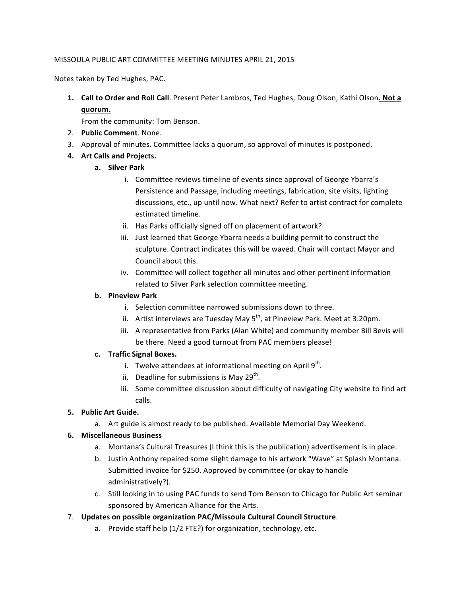## MISSOULA PUBLIC ART COMMITTEE MEETING MINUTES APRIL 21, 2015

Notes taken by Ted Hughes, PAC.

**1. Call to Order and Roll Call**. Present Peter Lambros, Ted Hughes, Doug Olson, Kathi Olson. Not a **quorum.**

From the community: Tom Benson.

- 2. **Public Comment**. None.
- 3. Approval of minutes. Committee lacks a quorum, so approval of minutes is postponed.

# **4.** Art Calls and Projects.

- **a. Silver Park**
	- i. Committee reviews timeline of events since approval of George Ybarra's Persistence and Passage, including meetings, fabrication, site visits, lighting discussions, etc., up until now. What next? Refer to artist contract for complete estimated timeline.
	- ii. Has Parks officially signed off on placement of artwork?
	- iii. Just learned that George Ybarra needs a building permit to construct the sculpture. Contract indicates this will be waved. Chair will contact Mayor and Council about this.
	- iv. Committee will collect together all minutes and other pertinent information related to Silver Park selection committee meeting.

## **b. Pineview Park**

- i. Selection committee narrowed submissions down to three.
- ii. Artist interviews are Tuesday May  $5<sup>th</sup>$ , at Pineview Park. Meet at 3:20pm.
- iii. A representative from Parks (Alan White) and community member Bill Bevis will be there. Need a good turnout from PAC members please!

#### **c. Traffic Signal Boxes.**

- i. Twelve attendees at informational meeting on April  $9<sup>th</sup>$ .
- ii. Deadline for submissions is May  $29^{th}$ .
- iii. Some committee discussion about difficulty of navigating City website to find art calls.

# **5.** Public Art Guide.

a. Art guide is almost ready to be published. Available Memorial Day Weekend.

#### **6. Miscellaneous Business**

- a. Montana's Cultural Treasures (I think this is the publication) advertisement is in place.
- b. Justin Anthony repaired some slight damage to his artwork "Wave" at Splash Montana. Submitted invoice for \$250. Approved by committee (or okay to handle administratively?).
- c. Still looking in to using PAC funds to send Tom Benson to Chicago for Public Art seminar sponsored by American Alliance for the Arts.
- 7. Updates on possible organization PAC/Missoula Cultural Council Structure.
	- a. Provide staff help (1/2 FTE?) for organization, technology, etc.